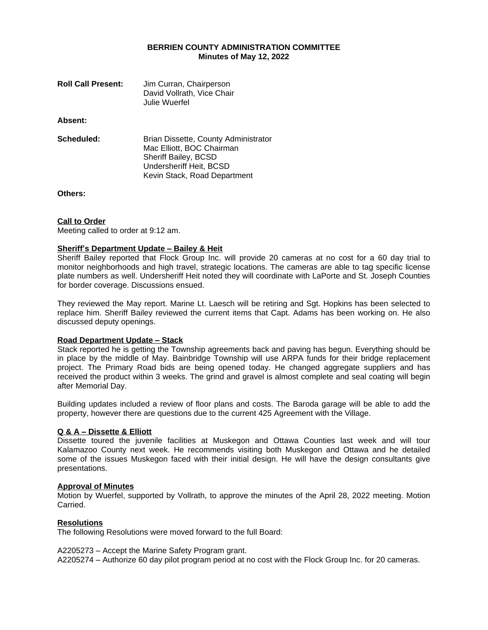# **BERRIEN COUNTY ADMINISTRATION COMMITTEE Minutes of May 12, 2022**

| <b>Roll Call Present:</b> | Jim Curran, Chairperson<br>David Vollrath, Vice Chair<br>Julie Wuerfel                                               |
|---------------------------|----------------------------------------------------------------------------------------------------------------------|
| Absent:                   |                                                                                                                      |
| Scheduled:                | Brian Dissette, County Administrator<br>Mac Elliott, BOC Chairman<br>Sheriff Bailey, BCSD<br>Undersheriff Heit, BCSD |

Kevin Stack, Road Department

**Others:**

### **Call to Order**

Meeting called to order at 9:12 am.

### **Sheriff's Department Update – Bailey & Heit**

Sheriff Bailey reported that Flock Group Inc. will provide 20 cameras at no cost for a 60 day trial to monitor neighborhoods and high travel, strategic locations. The cameras are able to tag specific license plate numbers as well. Undersheriff Heit noted they will coordinate with LaPorte and St. Joseph Counties for border coverage. Discussions ensued.

They reviewed the May report. Marine Lt. Laesch will be retiring and Sgt. Hopkins has been selected to replace him. Sheriff Bailey reviewed the current items that Capt. Adams has been working on. He also discussed deputy openings.

#### **Road Department Update – Stack**

Stack reported he is getting the Township agreements back and paving has begun. Everything should be in place by the middle of May. Bainbridge Township will use ARPA funds for their bridge replacement project. The Primary Road bids are being opened today. He changed aggregate suppliers and has received the product within 3 weeks. The grind and gravel is almost complete and seal coating will begin after Memorial Day.

Building updates included a review of floor plans and costs. The Baroda garage will be able to add the property, however there are questions due to the current 425 Agreement with the Village.

# **Q & A – Dissette & Elliott**

Dissette toured the juvenile facilities at Muskegon and Ottawa Counties last week and will tour Kalamazoo County next week. He recommends visiting both Muskegon and Ottawa and he detailed some of the issues Muskegon faced with their initial design. He will have the design consultants give presentations.

#### **Approval of Minutes**

Motion by Wuerfel, supported by Vollrath, to approve the minutes of the April 28, 2022 meeting. Motion Carried.

# **Resolutions**

The following Resolutions were moved forward to the full Board:

A2205273 – Accept the Marine Safety Program grant.

A2205274 – Authorize 60 day pilot program period at no cost with the Flock Group Inc. for 20 cameras.